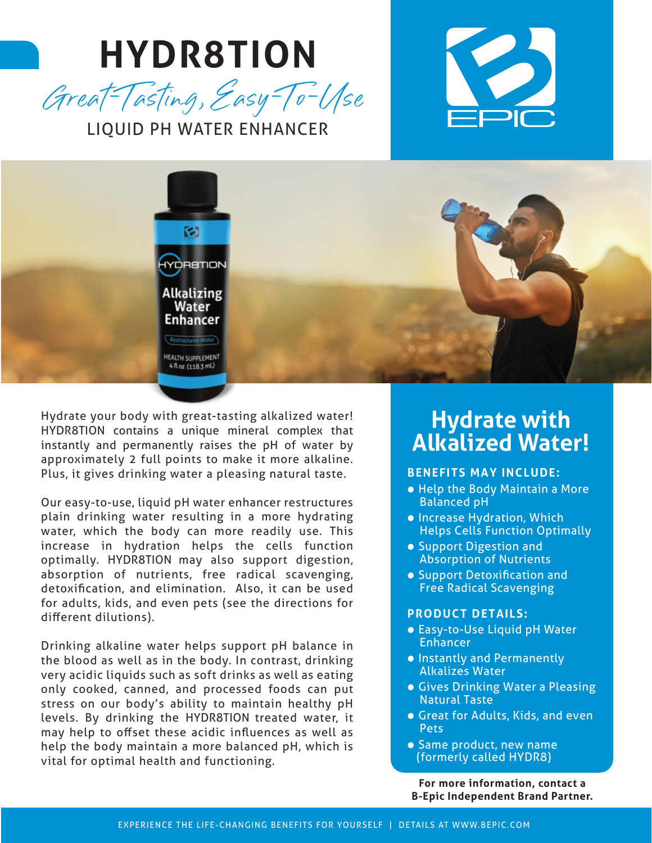# **HYDR8TION** Great-Tasting, Easy-To-Use







Hydrate your body with great-tasting alkalized water! HYDR8TION contains a unique mineral complex that instantly and permanently raises the pH of water by approximately 2 full points to make it more alkaline. Plus, it gives drinking water a pleasing natural taste.

Our easy-to-use, liquid pH water enhancer restructures plain drinking water resulting in a more hydrating water, which the body can more readily use. This increase in hydration helps the cells function optimally. HYDR8TION may also support digestion, absorption of nutrients, free radical scavenging, detoxification, and elimination. Also, it can be used for adults, kids, and even pets (see the directions for different dilutions).

Drinking alkaline water helps support pH balance in the blood as well as in the body. In contrast, drinking very acidic liquids such as soft drinks as well as eating only cooked, canned, and processed foods can put stress on our body's ability to maintain healthy pH levels. By drinking the HYDR8TION treated water, it may help to offset these acidic influences as well as help the body maintain a more balanced pH, which is vital for optimal health and functioning.

### **Hydrate with Alkalized Water!**

#### **BENEFITS MAY INCLUDE:**

- Help the Body Maintain a More Balanced pH
- Increase Hydration, Which Helps Cells Function Optimally
- Support Digestion and Absorption of Nutrients
- Support Detoxification and Free Radical Scavenging

#### **PRODUCT DETAILS:**

- Easy-to-Use Liquid pH Water Enhancer
- Instantly and Permanently Alkalizes Water
- Gives Drinking Water a Pleasing Natural Taste
- Great for Adults, Kids, and even Pets
- Same product, new name (formerly called HYDR8)

**For more information, contact a B-Epic Independent Brand Partner.**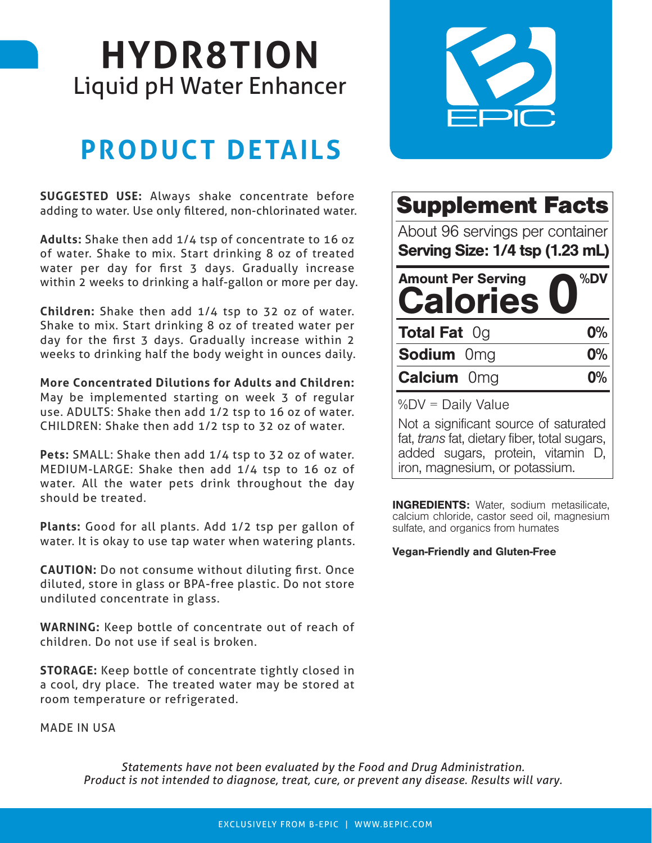## **HYDR8TION** Liquid pH Water Enhancer

### **PRODUCT DETAILS**

**SUGGESTED USE:** Always shake concentrate before adding to water. Use only filtered, non-chlorinated water.

**Adults:** Shake then add 1/4 tsp of concentrate to 16 oz of water. Shake to mix. Start drinking 8 oz of treated water per day for first 3 days. Gradually increase within 2 weeks to drinking a half-gallon or more per day.

**Children:** Shake then add 1/4 tsp to 32 oz of water. Shake to mix. Start drinking 8 oz of treated water per day for the first 3 days. Gradually increase within 2 weeks to drinking half the body weight in ounces daily.

**More Concentrated Dilutions for Adults and Children:**  May be implemented starting on week 3 of regular

use. ADULTS: Shake then add 1/2 tsp to 16 oz of water. CHILDREN: Shake then add 1/2 tsp to 32 oz of water.

**Pets:** SMALL: Shake then add 1/4 tsp to 32 oz of water. MEDIUM-LARGE: Shake then add 1/4 tsp to 16 oz of water. All the water pets drink throughout the day should be treated.

**Plants:** Good for all plants. Add 1/2 tsp per gallon of water. It is okay to use tap water when watering plants.

**CAUTION:** Do not consume without diluting first. Once diluted, store in glass or BPA-free plastic. Do not store undiluted concentrate in glass.

**WARNING:** Keep bottle of concentrate out of reach of children. Do not use if seal is broken.

**STORAGE:** Keep bottle of concentrate tightly closed in a cool, dry place. The treated water may be stored at room temperature or refrigerated.

MADE IN USA



| <b>Supplement Facts</b>                                            |       |
|--------------------------------------------------------------------|-------|
| About 96 servings per container<br>Serving Size: 1/4 tsp (1.23 mL) |       |
| <b>Amount Per Serving</b><br><b>Calories</b>                       | %DV   |
|                                                                    |       |
| <b>Total Fat Og</b>                                                | 0%    |
| <b>Sodium</b> 0mg                                                  | $0\%$ |
| <b>Calcium Omg</b>                                                 | 0%    |

Not a significant source of saturated fat, trans fat, dietary fiber, total sugars, added sugars, protein, vitamin D, iron, magnesium, or potassium.

INGREDIENTS: Water, sodium metasilicate, calcium chloride, castor seed oil, magnesium sulfate, and organics from humates

#### Vegan-Friendly and Gluten-Free

*Statements have not been evaluated by the Food and Drug Administration. Product is not intended to diagnose, treat, cure, or prevent any disease. Results will vary.*